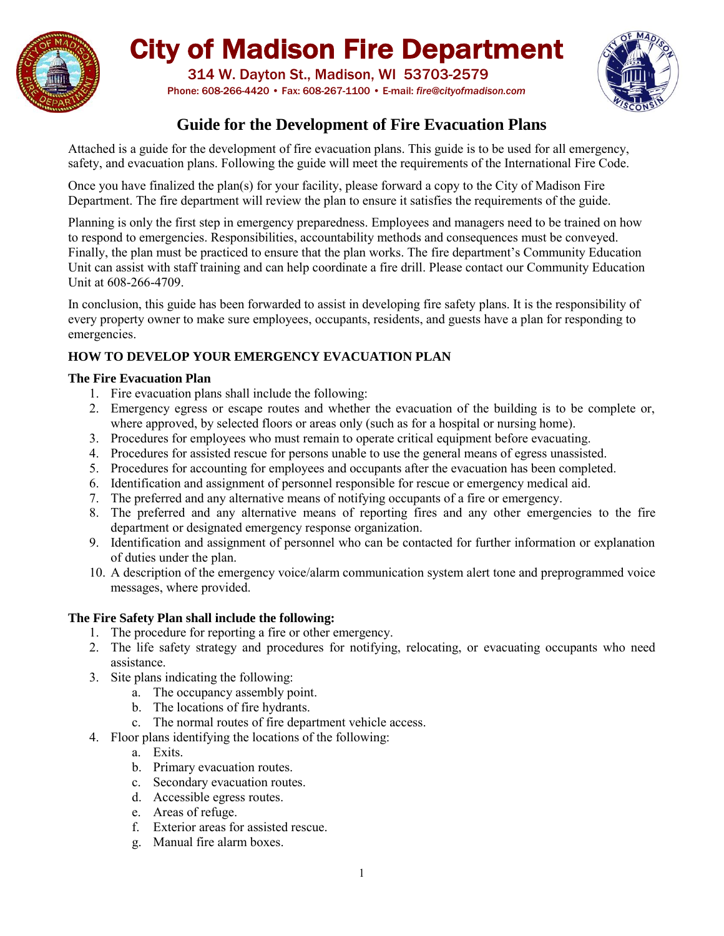

# City of Madison Fire Department

 314 W. Dayton St., Madison, WI 53703-2579 Phone: 608-266-4420 • Fax: 608-267-1100 • E-mail: *fire@cityofmadison.com*



# **Guide for the Development of Fire Evacuation Plans**

Attached is a guide for the development of fire evacuation plans. This guide is to be used for all emergency, safety, and evacuation plans. Following the guide will meet the requirements of the International Fire Code.

Once you have finalized the plan(s) for your facility, please forward a copy to the City of Madison Fire Department. The fire department will review the plan to ensure it satisfies the requirements of the guide.

Planning is only the first step in emergency preparedness. Employees and managers need to be trained on how to respond to emergencies. Responsibilities, accountability methods and consequences must be conveyed. Finally, the plan must be practiced to ensure that the plan works. The fire department's Community Education Unit can assist with staff training and can help coordinate a fire drill. Please contact our Community Education Unit at 608-266-4709.

In conclusion, this guide has been forwarded to assist in developing fire safety plans. It is the responsibility of every property owner to make sure employees, occupants, residents, and guests have a plan for responding to emergencies.

# **HOW TO DEVELOP YOUR EMERGENCY EVACUATION PLAN**

## **The Fire Evacuation Plan**

- 1. Fire evacuation plans shall include the following:
- 2. Emergency egress or escape routes and whether the evacuation of the building is to be complete or, where approved, by selected floors or areas only (such as for a hospital or nursing home).
- 3. Procedures for employees who must remain to operate critical equipment before evacuating.
- 4. Procedures for assisted rescue for persons unable to use the general means of egress unassisted.
- 5. Procedures for accounting for employees and occupants after the evacuation has been completed.
- 6. Identification and assignment of personnel responsible for rescue or emergency medical aid.
- 7. The preferred and any alternative means of notifying occupants of a fire or emergency.
- 8. The preferred and any alternative means of reporting fires and any other emergencies to the fire department or designated emergency response organization.
- 9. Identification and assignment of personnel who can be contacted for further information or explanation of duties under the plan.
- 10. A description of the emergency voice/alarm communication system alert tone and preprogrammed voice messages, where provided.

# **The Fire Safety Plan shall include the following:**

- 1. The procedure for reporting a fire or other emergency.
- 2. The life safety strategy and procedures for notifying, relocating, or evacuating occupants who need assistance.
- 3. Site plans indicating the following:
	- a. The occupancy assembly point.
	- b. The locations of fire hydrants.
	- c. The normal routes of fire department vehicle access.
- 4. Floor plans identifying the locations of the following:
	- a. Exits.
	- b. Primary evacuation routes.
	- c. Secondary evacuation routes.
	- d. Accessible egress routes.
	- e. Areas of refuge.
	- f. Exterior areas for assisted rescue.
	- g. Manual fire alarm boxes.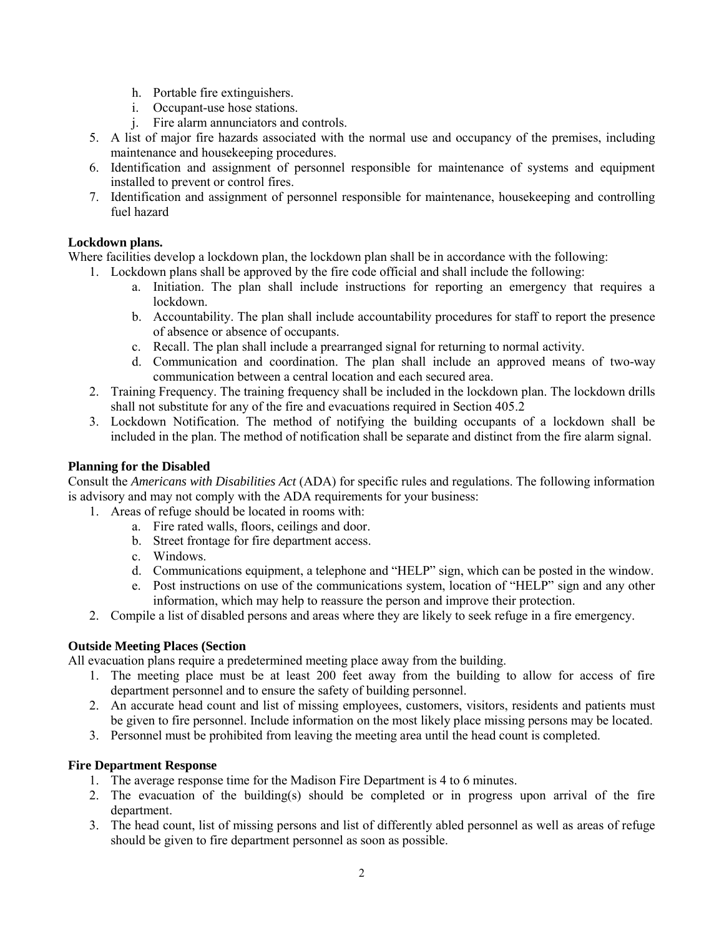- h. Portable fire extinguishers.
- i. Occupant-use hose stations.
- j. Fire alarm annunciators and controls.
- 5. A list of major fire hazards associated with the normal use and occupancy of the premises, including maintenance and housekeeping procedures.
- 6. Identification and assignment of personnel responsible for maintenance of systems and equipment installed to prevent or control fires.
- 7. Identification and assignment of personnel responsible for maintenance, housekeeping and controlling fuel hazard

#### **Lockdown plans.**

Where facilities develop a lockdown plan, the lockdown plan shall be in accordance with the following:

- 1. Lockdown plans shall be approved by the fire code official and shall include the following:
	- a. Initiation. The plan shall include instructions for reporting an emergency that requires a lockdown.
	- b. Accountability. The plan shall include accountability procedures for staff to report the presence of absence or absence of occupants.
	- c. Recall. The plan shall include a prearranged signal for returning to normal activity.
	- d. Communication and coordination. The plan shall include an approved means of two-way communication between a central location and each secured area.
- 2. Training Frequency. The training frequency shall be included in the lockdown plan. The lockdown drills shall not substitute for any of the fire and evacuations required in Section 405.2
- 3. Lockdown Notification. The method of notifying the building occupants of a lockdown shall be included in the plan. The method of notification shall be separate and distinct from the fire alarm signal.

#### **Planning for the Disabled**

Consult the *Americans with Disabilities Act* (ADA) for specific rules and regulations. The following information is advisory and may not comply with the ADA requirements for your business:

- 1. Areas of refuge should be located in rooms with:
	- a. Fire rated walls, floors, ceilings and door.
	- b. Street frontage for fire department access.
	- c. Windows.
	- d. Communications equipment, a telephone and "HELP" sign, which can be posted in the window.
	- e. Post instructions on use of the communications system, location of "HELP" sign and any other information, which may help to reassure the person and improve their protection.
- 2. Compile a list of disabled persons and areas where they are likely to seek refuge in a fire emergency.

### **Outside Meeting Places (Section**

All evacuation plans require a predetermined meeting place away from the building.

- 1. The meeting place must be at least 200 feet away from the building to allow for access of fire department personnel and to ensure the safety of building personnel.
- 2. An accurate head count and list of missing employees, customers, visitors, residents and patients must be given to fire personnel. Include information on the most likely place missing persons may be located.
- 3. Personnel must be prohibited from leaving the meeting area until the head count is completed.

#### **Fire Department Response**

- 1. The average response time for the Madison Fire Department is 4 to 6 minutes.
- 2. The evacuation of the building(s) should be completed or in progress upon arrival of the fire department.
- 3. The head count, list of missing persons and list of differently abled personnel as well as areas of refuge should be given to fire department personnel as soon as possible.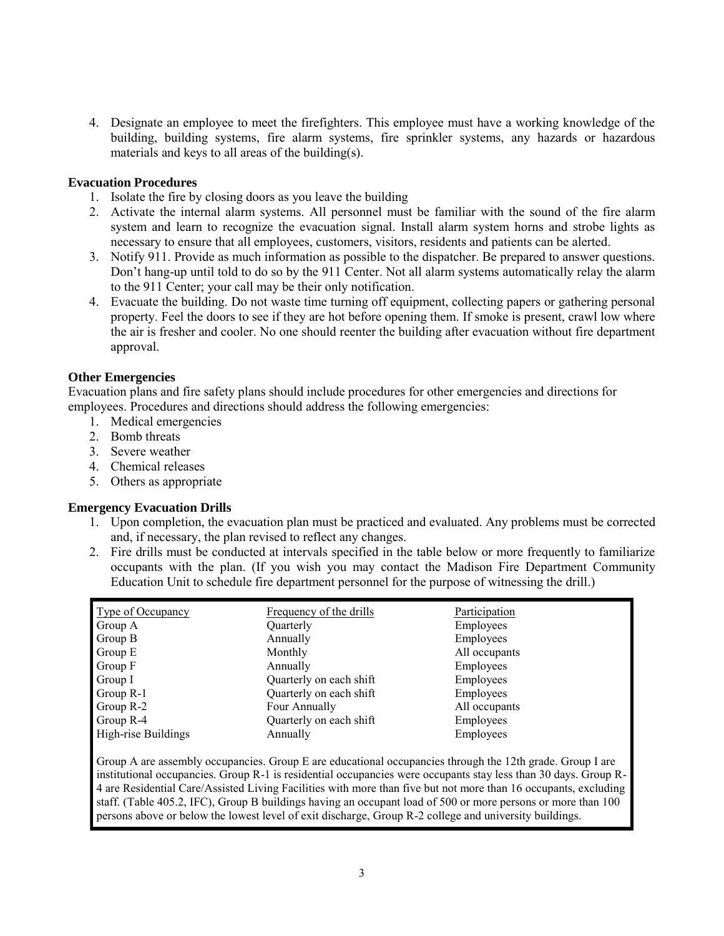4. Designate an employee to meet the firefighters. This employee must have a working knowledge of the building, building systems, fire alarm systems, fire sprinkler systems, any hazards or hazardous materials and keys to all areas of the building(s).

#### **Evacuation Procedures**

- 1. Isolate the fire by closing doors as you leave the building
- 2. Activate the internal alarm systems. All personnel must be familiar with the sound of the fire alarm system and learn to recognize the evacuation signal. Install alarm system horns and strobe lights as necessary to ensure that all employees, customers, visitors, residents and patients can be alerted.
- 3. Notify 911. Provide as much information as possible to the dispatcher. Be prepared to answer questions. Don't hang-up until told to do so by the 911 Center. Not all alarm systems automatically relay the alarm to the 911 Center; your call may be their only notification.
- 4. Evacuate the building. Do not waste time turning off equipment, collecting papers or gathering personal property. Feel the doors to see if they are hot before opening them. If smoke is present, crawl low where the air is fresher and cooler. No one should reenter the building after evacuation without fire department approval.

#### **Other Emergencies**

Evacuation plans and fire safety plans should include procedures for other emergencies and directions for employees. Procedures and directions should address the following emergencies:

- 1. Medical emergencies
- 2. Bomb threats
- 3. Severe weather
- 4. Chemical releases
- 5. Others as appropriate

#### **Emergency Evacuation Drills**

- 1. Upon completion, the evacuation plan must be practiced and evaluated. Any problems must be corrected and, if necessary, the plan revised to reflect any changes.
- 2. Fire drills must be conducted at intervals specified in the table below or more frequently to familiarize occupants with the plan. (If you wish you may contact the Madison Fire Department Community Education Unit to schedule fire department personnel for the purpose of witnessing the drill.)

| Type of Occupancy   | Frequency of the drills | Participation |
|---------------------|-------------------------|---------------|
| Group A             | Quarterly               | Employees     |
| Group B             | Annually                | Employees     |
| Group E             | Monthly                 | All occupants |
| Group F             | Annually                | Employees     |
| Group I             | Quarterly on each shift | Employees     |
| Group R-1           | Quarterly on each shift | Employees     |
| Group R-2           | Four Annually           | All occupants |
| Group R-4           | Quarterly on each shift | Employees     |
| High-rise Buildings | Annually                | Employees     |

Group A are assembly occupancies. Group E are educational occupancies through the 12th grade. Group I are institutional occupancies. Group R-1 is residential occupancies were occupants stay less than 30 days. Group R-4 are Residential Care/Assisted Living Facilities with more than five but not more than 16 occupants, excluding staff. (Table 405.2, IFC), Group B buildings having an occupant load of 500 or more persons or more than 100 persons above or below the lowest level of exit discharge, Group R-2 college and university buildings.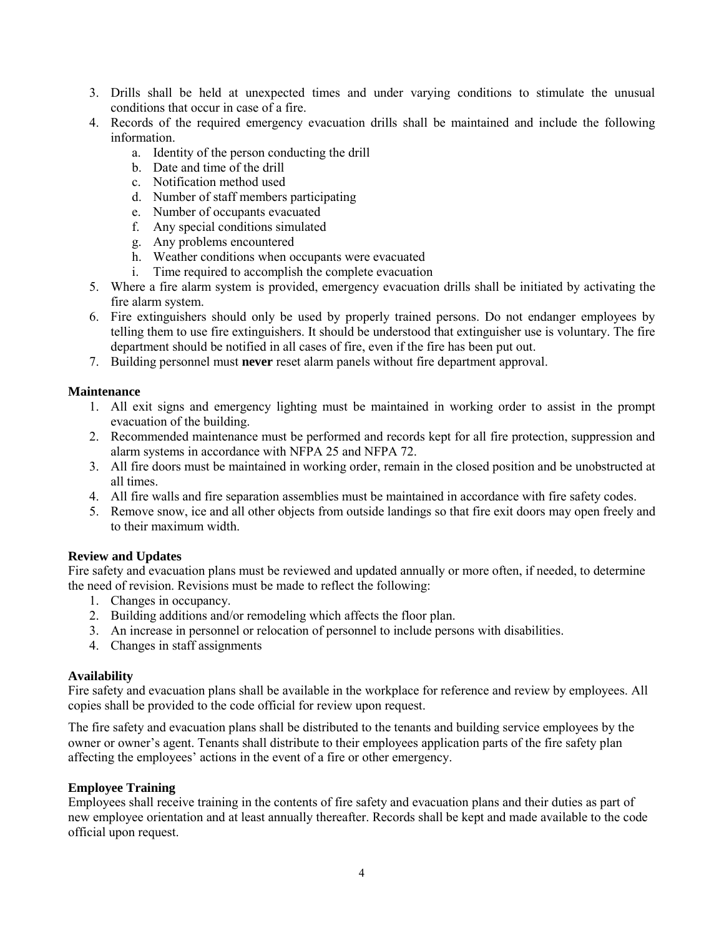- 3. Drills shall be held at unexpected times and under varying conditions to stimulate the unusual conditions that occur in case of a fire.
- 4. Records of the required emergency evacuation drills shall be maintained and include the following information.
	- a. Identity of the person conducting the drill
	- b. Date and time of the drill
	- c. Notification method used
	- d. Number of staff members participating
	- e. Number of occupants evacuated
	- f. Any special conditions simulated
	- g. Any problems encountered
	- h. Weather conditions when occupants were evacuated
	- i. Time required to accomplish the complete evacuation
- 5. Where a fire alarm system is provided, emergency evacuation drills shall be initiated by activating the fire alarm system.
- 6. Fire extinguishers should only be used by properly trained persons. Do not endanger employees by telling them to use fire extinguishers. It should be understood that extinguisher use is voluntary. The fire department should be notified in all cases of fire, even if the fire has been put out.
- 7. Building personnel must **never** reset alarm panels without fire department approval.

#### **Maintenance**

- 1. All exit signs and emergency lighting must be maintained in working order to assist in the prompt evacuation of the building.
- 2. Recommended maintenance must be performed and records kept for all fire protection, suppression and alarm systems in accordance with NFPA 25 and NFPA 72.
- 3. All fire doors must be maintained in working order, remain in the closed position and be unobstructed at all times.
- 4. All fire walls and fire separation assemblies must be maintained in accordance with fire safety codes.
- 5. Remove snow, ice and all other objects from outside landings so that fire exit doors may open freely and to their maximum width.

#### **Review and Updates**

Fire safety and evacuation plans must be reviewed and updated annually or more often, if needed, to determine the need of revision. Revisions must be made to reflect the following:

- 1. Changes in occupancy.
- 2. Building additions and/or remodeling which affects the floor plan.
- 3. An increase in personnel or relocation of personnel to include persons with disabilities.
- 4. Changes in staff assignments

#### **Availability**

Fire safety and evacuation plans shall be available in the workplace for reference and review by employees. All copies shall be provided to the code official for review upon request.

The fire safety and evacuation plans shall be distributed to the tenants and building service employees by the owner or owner's agent. Tenants shall distribute to their employees application parts of the fire safety plan affecting the employees' actions in the event of a fire or other emergency.

#### **Employee Training**

Employees shall receive training in the contents of fire safety and evacuation plans and their duties as part of new employee orientation and at least annually thereafter. Records shall be kept and made available to the code official upon request.